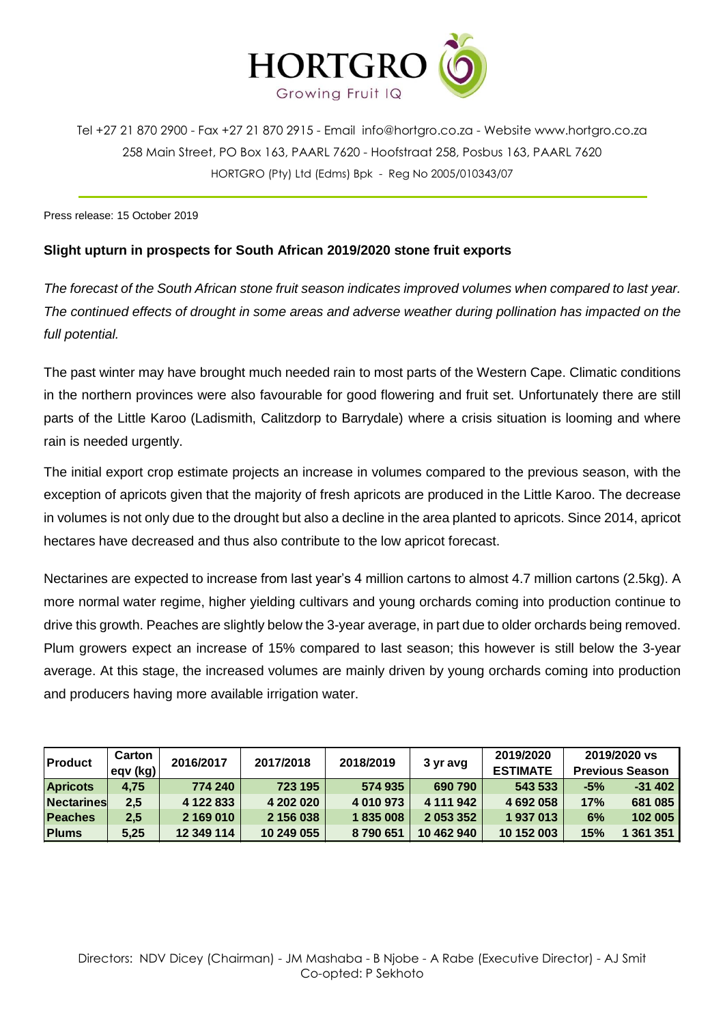

Tel +27 21 870 2900 - Fax +27 21 870 2915 - Email [info@hortgro.co.za](mailto:info@hortgro.co.za) - Website www.hortgro.co.za 258 Main Street, PO Box 163, PAARL 7620 - Hoofstraat 258, Posbus 163, PAARL 7620 HORTGRO (Pty) Ltd (Edms) Bpk - Reg No 2005/010343/07

Press release: 15 October 2019

## **Slight upturn in prospects for South African 2019/2020 stone fruit exports**

*The forecast of the South African stone fruit season indicates improved volumes when compared to last year. The continued effects of drought in some areas and adverse weather during pollination has impacted on the full potential.* 

The past winter may have brought much needed rain to most parts of the Western Cape. Climatic conditions in the northern provinces were also favourable for good flowering and fruit set. Unfortunately there are still parts of the Little Karoo (Ladismith, Calitzdorp to Barrydale) where a crisis situation is looming and where rain is needed urgently.

The initial export crop estimate projects an increase in volumes compared to the previous season, with the exception of apricots given that the majority of fresh apricots are produced in the Little Karoo. The decrease in volumes is not only due to the drought but also a decline in the area planted to apricots. Since 2014, apricot hectares have decreased and thus also contribute to the low apricot forecast.

Nectarines are expected to increase from last year's 4 million cartons to almost 4.7 million cartons (2.5kg). A more normal water regime, higher yielding cultivars and young orchards coming into production continue to drive this growth. Peaches are slightly below the 3-year average, in part due to older orchards being removed. Plum growers expect an increase of 15% compared to last season; this however is still below the 3-year average. At this stage, the increased volumes are mainly driven by young orchards coming into production and producers having more available irrigation water.

| Product           | Carton<br>eqv (kg) | 2016/2017  | 2017/2018  | 2018/2019 | 3 yr avg   | 2019/2020<br><b>ESTIMATE</b> | 2019/2020 vs<br><b>Previous Season</b> |          |
|-------------------|--------------------|------------|------------|-----------|------------|------------------------------|----------------------------------------|----------|
| <b>Apricots</b>   | 4.75               | 774 240    | 723 195    | 574 935   | 690 790    | 543 533                      | $-5%$                                  | $-31402$ |
| <b>Nectarines</b> | 2,5                | 4 122 833  | 4 202 020  | 4 010 973 | 4 111 942  | 4692058                      | 17%                                    | 681 085  |
| Peaches           | 2,5                | 2 169 010  | 2 156 038  | 1835008   | 2 053 352  | 1937013                      | 6%                                     | 102 005  |
| <b>Plums</b>      | 5,25               | 12 349 114 | 10 249 055 | 8790651   | 10 462 940 | 10 152 003                   | 15%                                    | 361 351  |